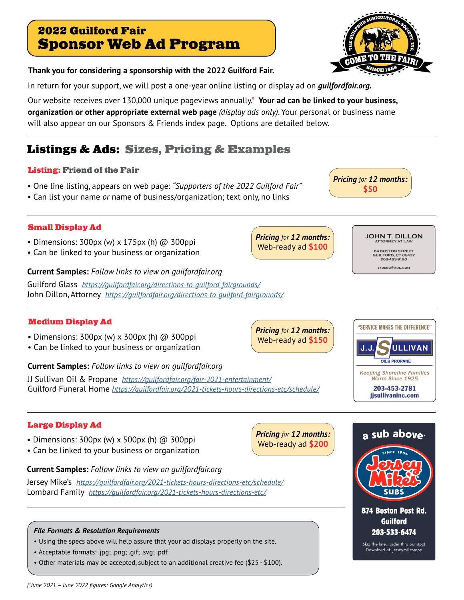# 2022 Guilford Fair Sponsor Web Ad Program

## **Thank you for considering a sponsorship with the 2022 Guilford Fair.**

In return for your support, we will post a one-year online listing or display ad on *guilfordfair.org.* 

Our website receives over 130,000 unique pageviews annually.\* **Your ad can be linked to your business, organization or other appropriate external web page** *(display ads only)*. Your personal or business name will also appear on our Sponsors & Friends index page. Options are detailed below.

# Listings & Ads: Sizes, Pricing & Examples

### Listing: Friend of the Fair

- One line listing, appears on web page: *"Supporters of the 2022 Guilford Fair"*
- Can list your name *or* name of business/organization; text only, no links

## Small Display Ad

- Dimensions:  $300px$  (w) x  $175px$  (h)  $@$   $300ppi$
- Can be linked to your business or organization

### **Current Samples:** *Follow links to view on guilfordfair.org*

Guilford Glass *[https://guilfordfair.org/directions-to-guilford-fairgrounds/](https://guilfordfair.org/directions-to-guilford-fairgrounds/ )* John Dillon, Attorney *https://guilfordfair.org/directions-to-guilford-fairgrounds/*

#### Medium Display Ad

- Dimensions: 300px (w) x 300px (h) @ 300ppi
- Can be linked to your business or organization

**Current Samples:** *Follow links to view on guilfordfair.org*

JJ Sullivan Oil & Propane *<https://guilfordfair.org/fair-2021-entertainment/>* Guilford Funeral Home *https://guilfordfair.org/2021-tickets-hours-directions-etc/schedule/*

## Large Display Ad

- Dimensions:  $300px$  (w) x  $500px$  (h)  $@300ppi$
- Can be linked to your business or organization

#### **Current Samples:** *Follow links to view on guilfordfair.org*

Jersey Mike's *https://guilfordfair.org/2021-tickets-hours-directions-etc/schedule/* Lombard Family *https://guilfordfair.org/2021-tickets-hours-directions-etc/*

#### *File Formats & Resolution Requirements*

- Using the specs above will help assure that your ad displays properly on the site.
- Acceptable formats: .jpg; .png; .gif; .svg; .pdf
- Other materials may be accepted, subject to an additional creative fee (\$25 \$100).







Skip the line... order thru our app! Download at: jerseymikes/app

*Pricing for 12 months:* Web-ready ad **\$100**

*Pricing for 12 months:* Web-ready ad **\$150**

*Pricing for 12 months:* Web-ready ad **\$200**

**JOHN T. DILLON** 

**64 BOSTON STREET** GUILFORD, CT 06437 203-453-9190

JTDESQ@AOL.COM

"SERVICE MAKES THE DIFFERENCE"

**OIL& PROPANE** 

J.J

**ULLIVAN** 



*Pricing for 12 months:*

**\$50**